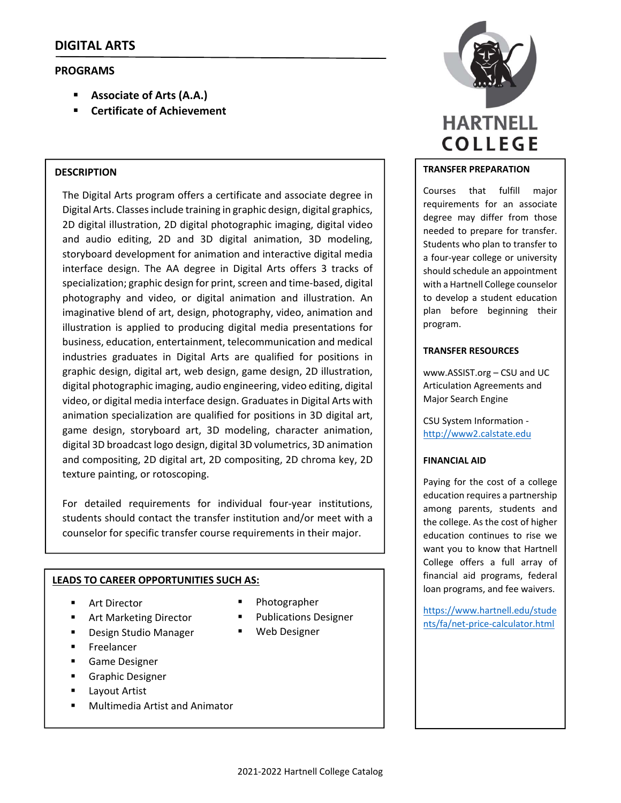# **PROGRAMS**

- **Associate of Arts (A.A.)**
- **Certificate of Achievement**

### **DESCRIPTION**

The Digital Arts program offers a certificate and associate degree in Digital Arts. Classes include training in graphic design, digital graphics, 2D digital illustration, 2D digital photographic imaging, digital video and audio editing, 2D and 3D digital animation, 3D modeling, storyboard development for animation and interactive digital media interface design. The AA degree in Digital Arts offers 3 tracks of specialization; graphic design for print, screen and time-based, digital photography and video, or digital animation and illustration. An imaginative blend of art, design, photography, video, animation and illustration is applied to producing digital media presentations for business, education, entertainment, telecommunication and medical industries graduates in Digital Arts are qualified for positions in graphic design, digital art, web design, game design, 2D illustration, digital photographic imaging, audio engineering, video editing, digital video, or digital media interface design. Graduatesin Digital Arts with animation specialization are qualified for positions in 3D digital art, game design, storyboard art, 3D modeling, character animation, digital 3D broadcast logo design, digital 3D volumetrics, 3D animation and compositing, 2D digital art, 2D compositing, 2D chroma key, 2D texture painting, or rotoscoping.

For detailed requirements for individual four‐year institutions, students should contact the transfer institution and/or meet with a counselor for specific transfer course requirements in their major.

#### **LEADS TO CAREER OPPORTUNITIES SUCH AS:**

- Art Director
- **Art Marketing Director**
- Design Studio Manager
- **Freelancer**
- Game Designer
- Graphic Designer
- Layout Artist
- **Multimedia Artist and Animator**
- Photographer
- **Publications Designer**
- Web Designer



#### **TRANSFER PREPARATION**

Courses that fulfill major requirements for an associate degree may differ from those needed to prepare for transfer. Students who plan to transfer to a four‐year college or university should schedule an appointment with a Hartnell College counselor to develop a student education plan before beginning their program.

#### **TRANSFER RESOURCES**

www.ASSIST.org – CSU and UC Articulation Agreements and Major Search Engine

CSU System Information ‐ http://www2.calstate.edu

#### **FINANCIAL AID**

Paying for the cost of a college education requires a partnership among parents, students and the college. As the cost of higher education continues to rise we want you to know that Hartnell College offers a full array of financial aid programs, federal loan programs, and fee waivers.

https://www.hartnell.edu/stude nts/fa/net‐price‐calculator.html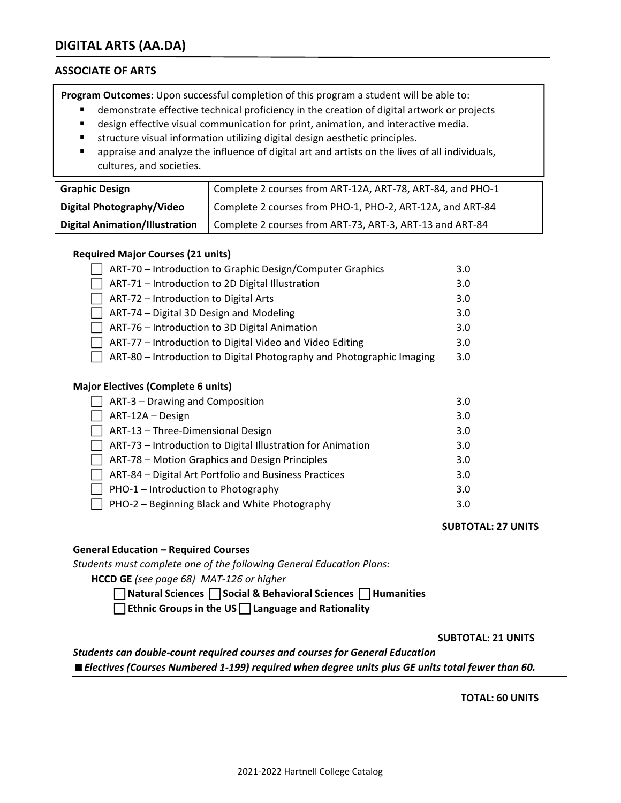# **DIGITAL ARTS (AA.DA)**

# **ASSOCIATE OF ARTS**

**Program Outcomes**: Upon successful completion of this program a student will be able to:

- demonstrate effective technical proficiency in the creation of digital artwork or projects
- design effective visual communication for print, animation, and interactive media.
- structure visual information utilizing digital design aesthetic principles.
- appraise and analyze the influence of digital art and artists on the lives of all individuals, cultures, and societies.

| <b>Graphic Design</b>                 | Complete 2 courses from ART-12A, ART-78, ART-84, and PHO-1 |
|---------------------------------------|------------------------------------------------------------|
| Digital Photography/Video             | Complete 2 courses from PHO-1, PHO-2, ART-12A, and ART-84  |
| <b>Digital Animation/Illustration</b> | Complete 2 courses from ART-73, ART-3, ART-13 and ART-84   |

## **Required Major Courses (21 units)**

| ART-70 – Introduction to Graphic Design/Computer Graphics             | 3.0 |
|-----------------------------------------------------------------------|-----|
| ART-71 - Introduction to 2D Digital Illustration                      | 3.0 |
| ART-72 - Introduction to Digital Arts                                 |     |
| ART-74 - Digital 3D Design and Modeling                               | 3.0 |
| ART-76 - Introduction to 3D Digital Animation                         |     |
| ART-77 – Introduction to Digital Video and Video Editing              |     |
| ART-80 – Introduction to Digital Photography and Photographic Imaging | 3.0 |
|                                                                       |     |
| <b>Major Electives (Complete 6 units)</b>                             |     |
| ART-3 – Drawing and Composition                                       | 3.0 |
| ART-12A - Design                                                      | 3.0 |
| ART-13 - Three-Dimensional Design                                     |     |
| ART-73 – Introduction to Digital Illustration for Animation           | 3.0 |
| ART-78 – Motion Graphics and Design Principles                        | 3.0 |
| ART-84 - Digital Art Portfolio and Business Practices                 | 3.0 |
| PHO-1 - Introduction to Photography                                   | 3.0 |
| PHO-2 - Beginning Black and White Photography                         | 3.0 |
|                                                                       |     |

## **General Education – Required Courses**

*Students must complete one of the following General Education Plans:*

**HCCD GE** *(see page 68) MAT‐126 or higher*

 **Natural Sciences Social & Behavioral Sciences Humanities** 

**Ethnic Groups in the US Language and Rationality**

 **SUBTOTAL: 21 UNITS** 

 **SUBTOTAL: 27 UNITS**

*Students can double‐count required courses and courses for General Education Electives (Courses Numbered 1‐199) required when degree units plus GE units total fewer than 60.*

 **TOTAL: 60 UNITS**